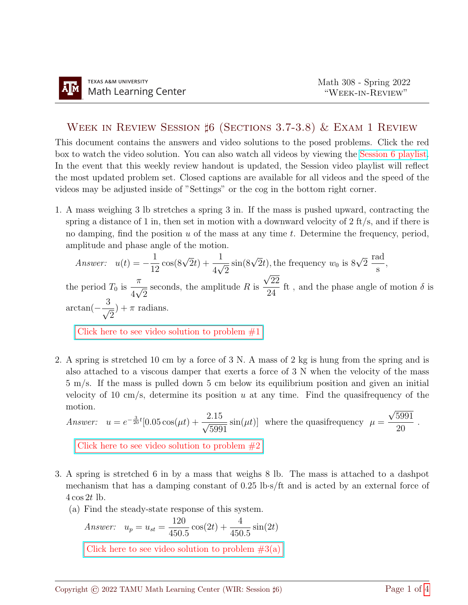## WEEK IN REVIEW SESSION  $\sharp$ 6 (SECTIONS 3.7-3.8) & EXAM 1 REVIEW

This document contains the answers and video solutions to the posed problems. Click the red box to watch the video solution. You can also watch all videos by viewing the [Session 6 playlist.](https://www.youtube.com/playlist?list=PLwFg2cC3rFdn1Nr67xi46tFk3WU6CA2uv) In the event that this weekly review handout is updated, the Session video playlist will reflect the most updated problem set. Closed captions are available for all videos and the speed of the videos may be adjusted inside of "Settings" or the cog in the bottom right corner.

1. A mass weighing 3 lb stretches a spring 3 in. If the mass is pushed upward, contracting the spring a distance of 1 in, then set in motion with a downward velocity of  $2 \text{ ft/s}$ , and if there is no damping, find the position  $u$  of the mass at any time  $t$ . Determine the frequency, period, amplitude and phase angle of the motion.

Answer: 
$$
u(t) = -\frac{1}{12}\cos(8\sqrt{2}t) + \frac{1}{4\sqrt{2}}\sin(8\sqrt{2}t)
$$
, the frequency  $w_0$  is  $8\sqrt{2} \frac{\text{rad}}{\text{s}}$ ,

the period  $T_0$  is  $\pi$ 4  $\frac{v}{\sqrt{2}}$ 2 seconds, the amplitude  $R$  is 22 24 ft, and the phase angle of motion  $\delta$  is  $\arctan(-\frac{3}{4})$ 2  $)+\pi$  radians.

Click here to see video solution to problem  $#1$ 

2. A spring is stretched 10 cm by a force of 3 N. A mass of 2 kg is hung from the spring and is also attached to a viscous damper that exerts a force of 3 N when the velocity of the mass 5 m/s. If the mass is pulled down 5 cm below its equilibrium position and given an initial velocity of 10 cm/s, determine its position u at any time. Find the quasifrequency of the motion. √

Answer: 
$$
u = e^{-\frac{3}{20}t}[0.05\cos(\mu t) + \frac{2.15}{\sqrt{5991}}\sin(\mu t)]
$$
 where the quasifrequency  $\mu = \frac{\sqrt{5991}}{20}$ .  
\nClick here to see video solution to problem #2

- 3. A spring is stretched 6 in by a mass that weighs 8 lb. The mass is attached to a dashpot mechanism that has a damping constant of 0.25 lb·s/ft and is acted by an external force of  $4\cos 2t$  lb.
	- (a) Find the steady-state response of this system.

Answer: 
$$
u_p = u_{st} = \frac{120}{450.5} \cos(2t) + \frac{4}{450.5} \sin(2t)
$$
  
Click here to see video solution to problem #3(a)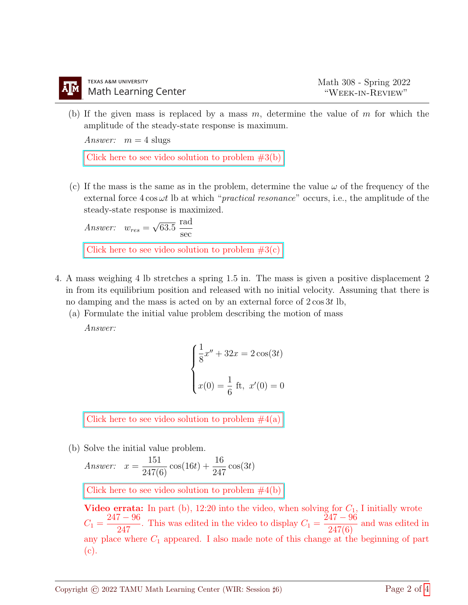(b) If the given mass is replaced by a mass  $m$ , determine the value of  $m$  for which the amplitude of the steady-state response is maximum.

Answer:  $m = 4$  slugs

Click here to see video solution to problem  $#3(b)$ 

(c) If the mass is the same as in the problem, determine the value  $\omega$  of the frequency of the external force  $4 \cos \omega t$  lb at which "*practical resonance*" occurs, i.e., the amplitude of the steady-state response is maximized.

Answer:  $w_{res} =$ √ 63.5 rad sec Click here to see video solution to problem  $#3(c)$ 

- 4. A mass weighing 4 lb stretches a spring 1.5 in. The mass is given a positive displacement 2 in from its equilibrium position and released with no initial velocity. Assuming that there is no damping and the mass is acted on by an external force of  $2 \cos 3t$  lb,
	- (a) Formulate the initial value problem describing the motion of mass

Answer:

$$
\begin{cases} \frac{1}{8}x'' + 32x = 2\cos(3t) \\ x(0) = \frac{1}{6} \text{ ft}, \ x'(0) = 0 \end{cases}
$$

Click here to see video solution to problem  $#4(a)$ 

(b) Solve the initial value problem.

Answer: 
$$
x = \frac{151}{247(6)} \cos(16t) + \frac{16}{247} \cos(3t)
$$

Click here to see video solution to problem  $#4(b)$ 

Video errata: In part (b), 12:20 into the video, when solving for  $C_1$ , I initially wrote  $C_1 =$  $247 - 96$  $\frac{247}{247}$ . This was edited in the video to display  $C_1 =$  $\bar{2}47 - 96$  $\frac{247(6)}{247(6)}$  and was edited in any place where  $C_1$  appeared. I also made note of this change at the beginning of part (c).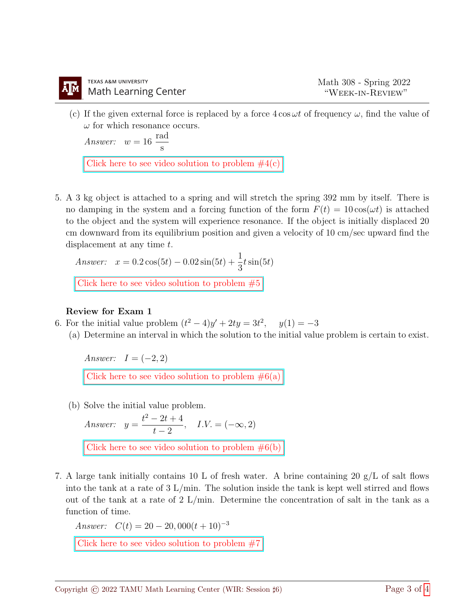(c) If the given external force is replaced by a force  $4 \cos \omega t$  of frequency  $\omega$ , find the value of  $\omega$  for which resonance occurs.

Answer:  $w = 16$ rad s

Click here to see video solution to problem  $#4(c)$ 

5. A 3 kg object is attached to a spring and will stretch the spring 392 mm by itself. There is no damping in the system and a forcing function of the form  $F(t) = 10 \cos(\omega t)$  is attached to the object and the system will experience resonance. If the object is initially displaced 20 cm downward from its equilibrium position and given a velocity of 10 cm/sec upward find the displacement at any time t.

Answer:  $x = 0.2 \cos(5t) - 0.02 \sin(5t) + \frac{1}{2}$ 3  $t\sin(5t)$ 

Click here to see video solution to problem  $#5$ 

## Review for Exam 1

- 6. For the initial value problem  $(t^2 4)y' + 2ty = 3t^2$  $y(1) = -3$ 
	- (a) Determine an interval in which the solution to the initial value problem is certain to exist.

Answer:  $I = (-2, 2)$ Click here to see video solution to problem  $\#6(a)$ 

(b) Solve the initial value problem.

Answer:  $y =$  $t^2 - 2t + 4$  $t-2$ ,  $I.V. = (-\infty, 2)$ 

Click here to see video solution to problem  $\#6(b)$ 

7. A large tank initially contains 10 L of fresh water. A brine containing 20  $g/L$  of salt flows into the tank at a rate of  $3 \text{ L/min}$ . The solution inside the tank is kept well stirred and flows out of the tank at a rate of 2 L/min. Determine the concentration of salt in the tank as a function of time.

Answer:  $C(t) = 20 - 20,000(t + 10)^{-3}$ 

[Click here to see video solution to problem #7](https://youtu.be/Cjd-T0NTqfQ)